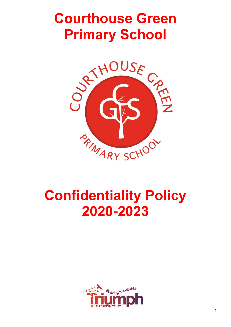# **Courthouse Green Primary School**



# **Confidentiality Policy 2020-2023**

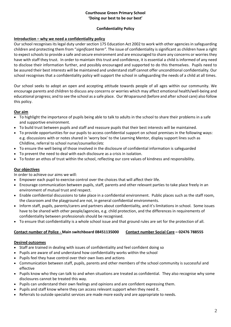#### **Courthouse Green Primary School 'Doing our best to be our best'**

#### **Confidentiality Policy**

#### **Introduction – why we need a confidentiality policy**

Our school recognises its legal duty under section 175 Education Act 2002 to work with other agencies in safeguarding children and protecting them from "*significant harm".* The issue of confidentiality is significant as children have a right to expect schools to provide a safe and secure environment and are encouraged to share any concerns or worries they have with staff they trust. In order to maintain this trust and confidence, it is essential a child is informed of any need to disclose their information further, and possibly encouraged and supported to do this themselves. Pupils need to be assured their best interests will be maintained and understand staff cannot offer unconditional confidentiality. Our school recognises that a confidentiality policy will support the school in safeguarding the needs of a child at all times.

Our school seeks to adopt an open and accepting attitude towards people of all ages within our community. We encourage parents and children to discuss any concerns or worries which may affect emotional health/well-being and educational progress; and to see the school as a safe place. Our Wraparound (before and after school care) also follow this policy.

### **Our aim**

- To highlight the importance of pupils being able to talk to adults in the school to share their problems in a safe and supportive environment.
- To build trust between pupils and staff and reassure pupils that their best interests will be maintained.
- To provide opportunities for our pupils to access confidential support on school premises in the following ways: e.g. discussions with or notes shared in 'worry box' to the Learning Mentor, display support lines such as Childline, referral to school nurse/counsellor/etc
- To ensure the well being of those involved in the disclosure of confidential information is safeguarded
- To prevent the need to deal with each disclosure as a crisis in isolation.
- To foster an ethos of trust within the school, reflecting our core values of kindness and responsibility.

#### **Our objectives**

In order to achieve our aims we will:

- Empower each pupil to exercise control over the choices that will affect their life.
- Encourage communication between pupils, staff, parents and other relevant parties to take place freely in an environment of mutual trust and respect.
- Enable confidential discussions to take place in a confidential environment. Public places such as the staff room, the classroom and the playground are not, in general confidential environments.
- Inform staff, pupils, parents/carers and partners about confidentiality, and it's limitations in school. Some issues have to be shared with other people/agencies, e.g. child protection, and the differences in requirements of confidentiality between professionals should be recognised.
- To ensure that confidentiality is a whole school issue and that ground rules are set for the protection of all.

#### **Contact number of Police - Main switchboard 08451135000 Contact number Social Care – 02476 788555**

#### **Desired outcomes**

- Staff are trained in dealing with issues of confidentiality and feel confident doing so
- Pupils are aware of and understand how confidentiality works within the school
- Pupils feel they have control over their own lives and actions
- Communication between staff, pupils, parents and other members of the school community is successful and effective
- Pupils know who they can talk to and when situations are treated as confidential. They also recognise why some disclosures cannot be treated this way.
- Pupils can understand their own feelings and opinions and are confident expressing them.
- Pupils and staff know where they can access relevant support when they need it.
- Referrals to outside specialist services are made more easily and are appropriate to needs.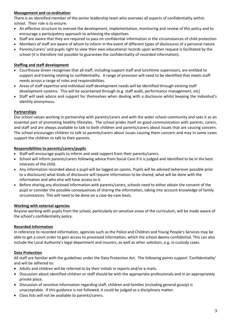### **Management and co-ordination**

There is an identified member of the senior leadership team who oversees all aspects of confidentiality within school. Their role is to ensure:

- An effective structure to oversee the development, implementation, monitoring and review of this policy and to encourage a participatory approach to achieving the objectives
- Staff are aware that they are required to pass on confidential information in the circumstances of child protection
- Members of staff are aware of whom to inform in the event of different types of disclosures of a personal nature
- Parents/carers' and pupils right to view their own educational records upon written request is facilitated by the school (it is therefore not possible to guarantee the confidentiality of recorded information).

#### **Staffing and staff development**

- Courthouse Green recognises that all staff, including support staff and lunchtime supervisors, are entitled to support and training relating to confidentiality. A range of provision will need to be identified that meets staff needs across a range of roles and responsibilities.
- Areas of staff expertise and individual staff development needs will be identified through existing staff development systems. This will be ascertained through (e.g. staff audit, performance management, etc)
- Staff will seek advice and support for themselves when dealing with a disclosure whilst keeping the individual's identity anonymous.

#### **Partnerships**

Our school values working in partnership with parents/carers and with the wider school community and sees it as an essential part of promoting healthy lifestyles. The school prides itself on good communication with parents, carers, and staff and are always available to talk to both children and parents/carers about issues that are causing concern. The school encourages children to talk to parents/carers about issues causing them concern and may in some cases support the children to talk to their parents.

#### **Responsibilities to parents/carers/pupils**

- Staff will encourage pupils to inform and seek support from their parents/carers.
- School will inform parents/carers following advice from Social Care if it is judged and identified to be in the best interests of the child.
- Any information recorded about a pupil will be logged on cpoms. Pupils will be advised (wherever possible prior to a disclosure) what kinds of disclosure will require information to be shared, what will be done with the information and who else will have access to it.
- Before sharing any disclosed information with parents/carers, schools need to either obtain the consent of the pupil or consider the possible consequences of sharing the information, taking into account knowledge of family circumstances. This will need to be done on a case-by-case basis.

#### **Working with external agencies**

Anyone working with pupils from the school, particularly on sensitive areas of the curriculum, will be made aware of the school's confidentiality policy.

#### **Recorded Information**

In reference to recorded information, agencies such as the Police and Children and Young People's Services may be able to get a court order to gain access to *processed* information, which the school deems confidential. This can also include the Local Authority's legal department and insurers, as well as other solicitors, e.g. in custody cases.

#### **Data Protection**

All staff are familiar with the guidelines under the Data Protection Act. The following points support 'Confidentiality' and will be adhered to:

- Adults and children will be referred to by their initials in reports and/or e-mails.
- Discussion about identified children or staff should be with the appropriate professionals and in an appropriately private place.
- Discussion of sensitive information regarding staff, children and families (including general gossip) is unacceptable. If this guidance is not followed, it could be judged as a disciplinary matter.
- Class lists will not be available to parents/carers.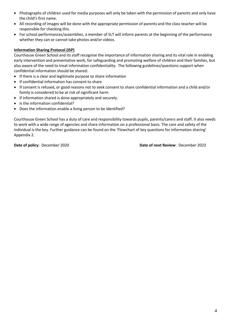- Photographs of children used for media purposes will only be taken with the permission of parents and only have the child's first name.
- All recording of images will be done with the appropriate permission of parents and the class teacher will be responsible for checking this.
- For school performances/assemblies, a member of SLT will inform parents at the beginning of the performance whether they can or cannot take photos and/or videos.

#### **Information Sharing Protocol (ISP)**

Courthouse Green School and its staff recognise the importance of information sharing and its vital role in enabling early intervention and preventative work, for safeguarding and promoting welfare of children and their families, but also aware of the need to treat information confidentiality. The following guidelines/questions support when confidential information should be shared:

- If there is a clear and legitimate purpose to share information
- If confidential information has consent to share
- If consent is refused, or good reasons not to seek consent to share confidential information and a child and/or family is considered to be at risk of significant harm
- If information shared is done appropriately and securely.
- Is the information confidential?
- Does the information enable a living person to be identified?

Courthouse Green School has a duty of care and responsibility towards pupils, parents/carers and staff. It also needs to work with a wide range of agencies and share information on a professional basis. The care and safety of the individual is the key. Further guidance can be found on the 'Flowchart of key questions for information sharing' Appendix 2.

**Date of policy**: December 2020 **Date of next Review**: December 2023